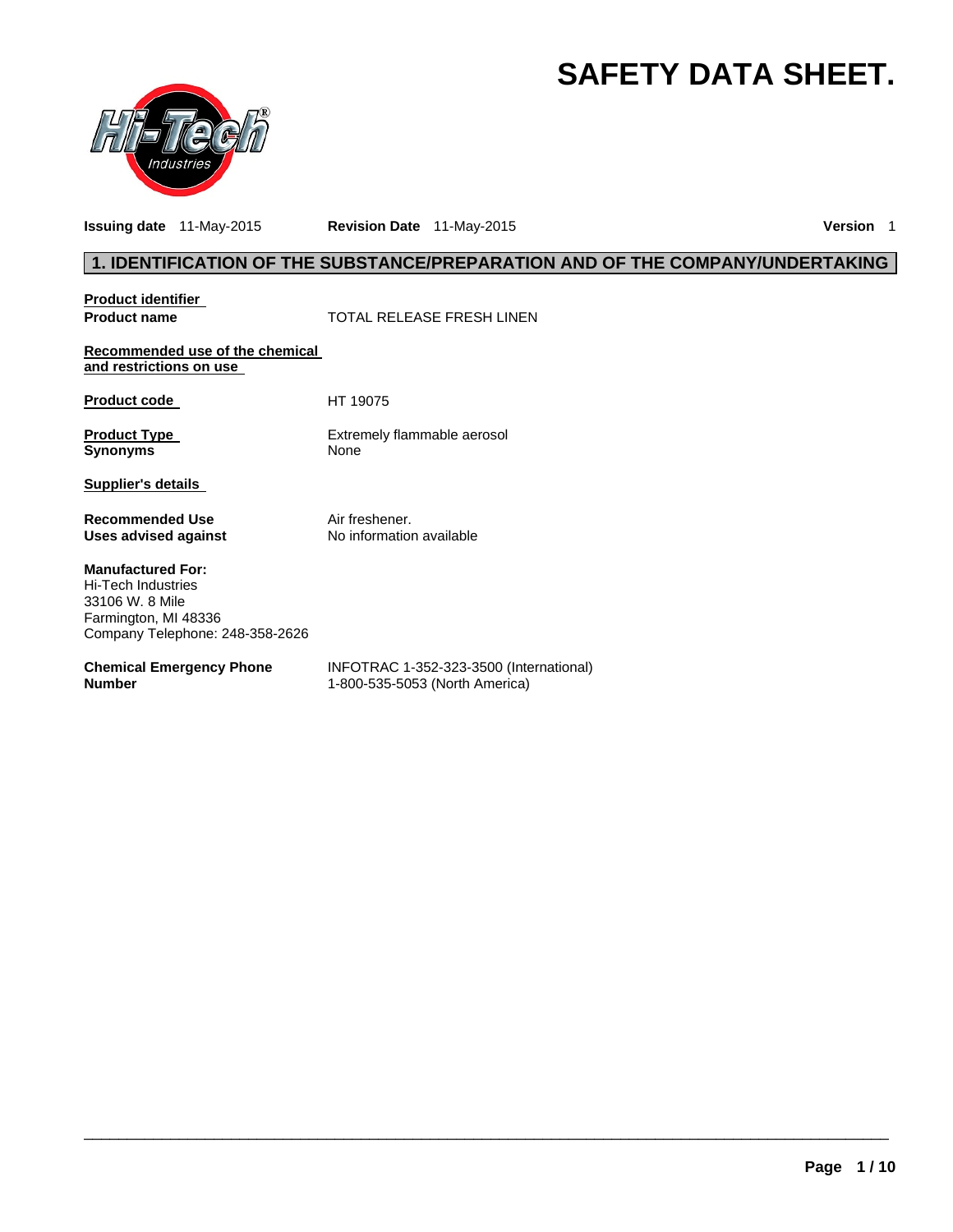# **SAFETY DATA SHEET.**



**Issuing date** 11-May-2015 **Revision Date** 11-May-2015 **Version** 1

### **1. IDENTIFICATION OF THE SUBSTANCE/PREPARATION AND OF THE COMPANY/UNDERTAKING**

**Product identifier** 

**Product name**  $\qquad$  **TOTAL RELEASE FRESH LINEN** 

**Recommended use of the chemical and restrictions on use** 

Product code HT 19075

**Product Type Extrement Control Control Control Control Control Control Control Control Control Control Control Control Control Control Control Control Control Control Control Control Control Control Control Control Contro** 

**Extremely flammable aerosol** 

**Supplier's details** 

**Recommended Use The Solution Convention Air freshener.**<br> **Uses advised against** No information available **Uses advised against** 

**Manufactured For:**  Hi-Tech Industries 33106 W. 8 Mile Farmington, MI 48336 Company Telephone: 248-358-2626

#### **Chemical Emergency Phone Number**

INFOTRAC 1-352-323-3500 (International) 1-800-535-5053 (North America)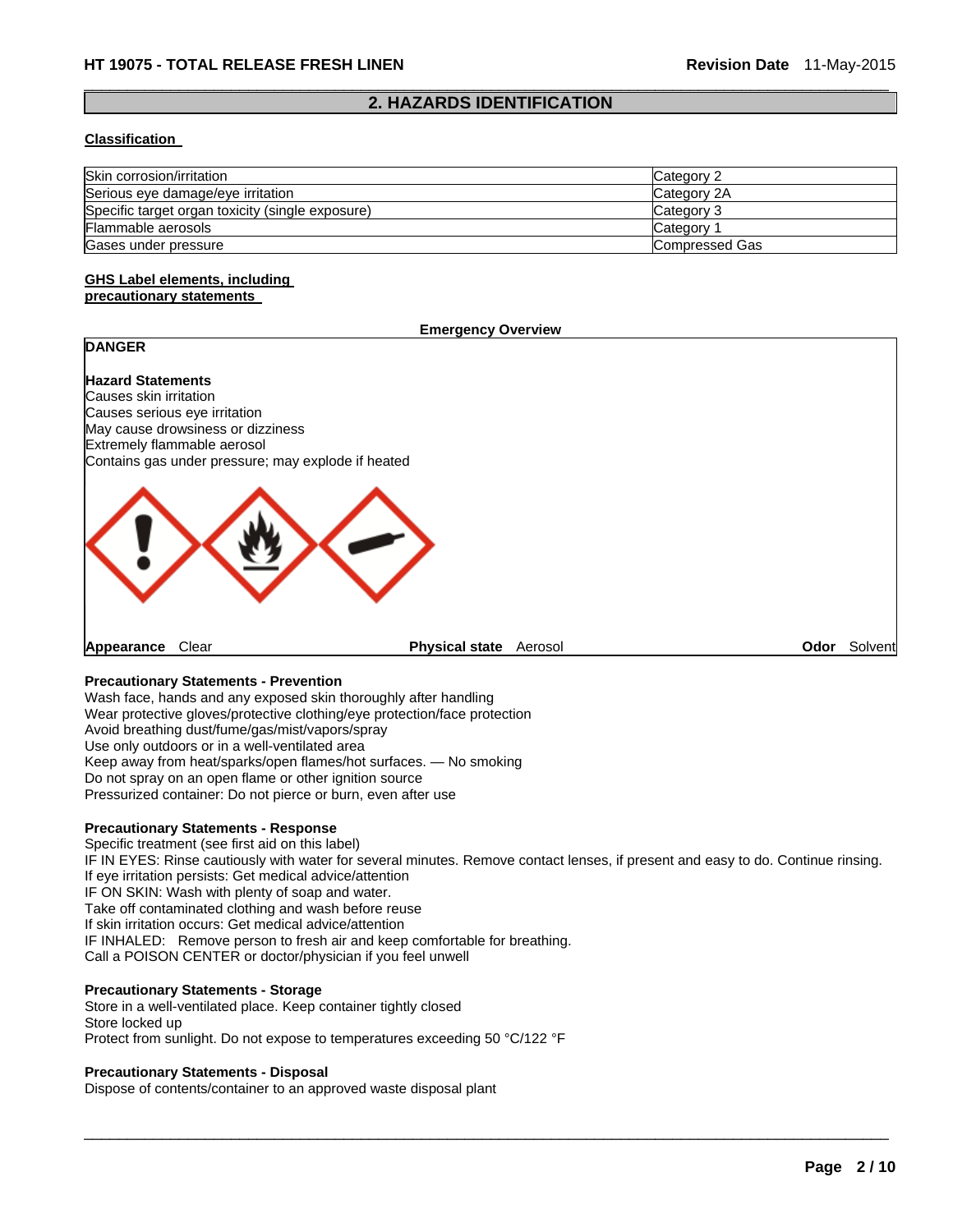#### $\Box$ **2. HAZARDS IDENTIFICATION**

#### **Classification**

| Skin corrosion/irritation                        | Category 2     |
|--------------------------------------------------|----------------|
| Serious eye damage/eye irritation                | Category 2A    |
| Specific target organ toxicity (single exposure) | Category 3     |
| Flammable aerosols                               | Category 1     |
| Gases under pressure                             | Compressed Gas |

#### **GHS Label elements, including precautionary statements**

#### **Emergency Overview**

## **DANGER**

**Hazard Statements**  Causes skin irritation Causes serious eye irritation May cause drowsiness or dizziness Extremely flammable aerosol Contains gas under pressure; may explode if heated



**Appearance** Clear **Physical state** Aerosol **Odor** Solvent

#### **Precautionary Statements - Prevention**

Wash face, hands and any exposed skin thoroughly after handling Wear protective gloves/protective clothing/eye protection/face protection Avoid breathing dust/fume/gas/mist/vapors/spray Use only outdoors or in a well-ventilated area Keep away from heat/sparks/open flames/hot surfaces. — No smoking Do not spray on an open flame or other ignition source Pressurized container: Do not pierce or burn, even after use

#### **Precautionary Statements - Response**

Specific treatment (see first aid on this label) IF IN EYES: Rinse cautiously with water for several minutes. Remove contact lenses, if present and easy to do. Continue rinsing. If eye irritation persists: Get medical advice/attention IF ON SKIN: Wash with plenty of soap and water. Take off contaminated clothing and wash before reuse If skin irritation occurs: Get medical advice/attention IF INHALED: Remove person to fresh air and keep comfortable for breathing. Call a POISON CENTER or doctor/physician if you feel unwell

 $\Box$ 

#### **Precautionary Statements - Storage**

Store in a well-ventilated place. Keep container tightly closed Store locked up Protect from sunlight. Do not expose to temperatures exceeding 50 °C/122 °F

#### **Precautionary Statements - Disposal**

Dispose of contents/container to an approved waste disposal plant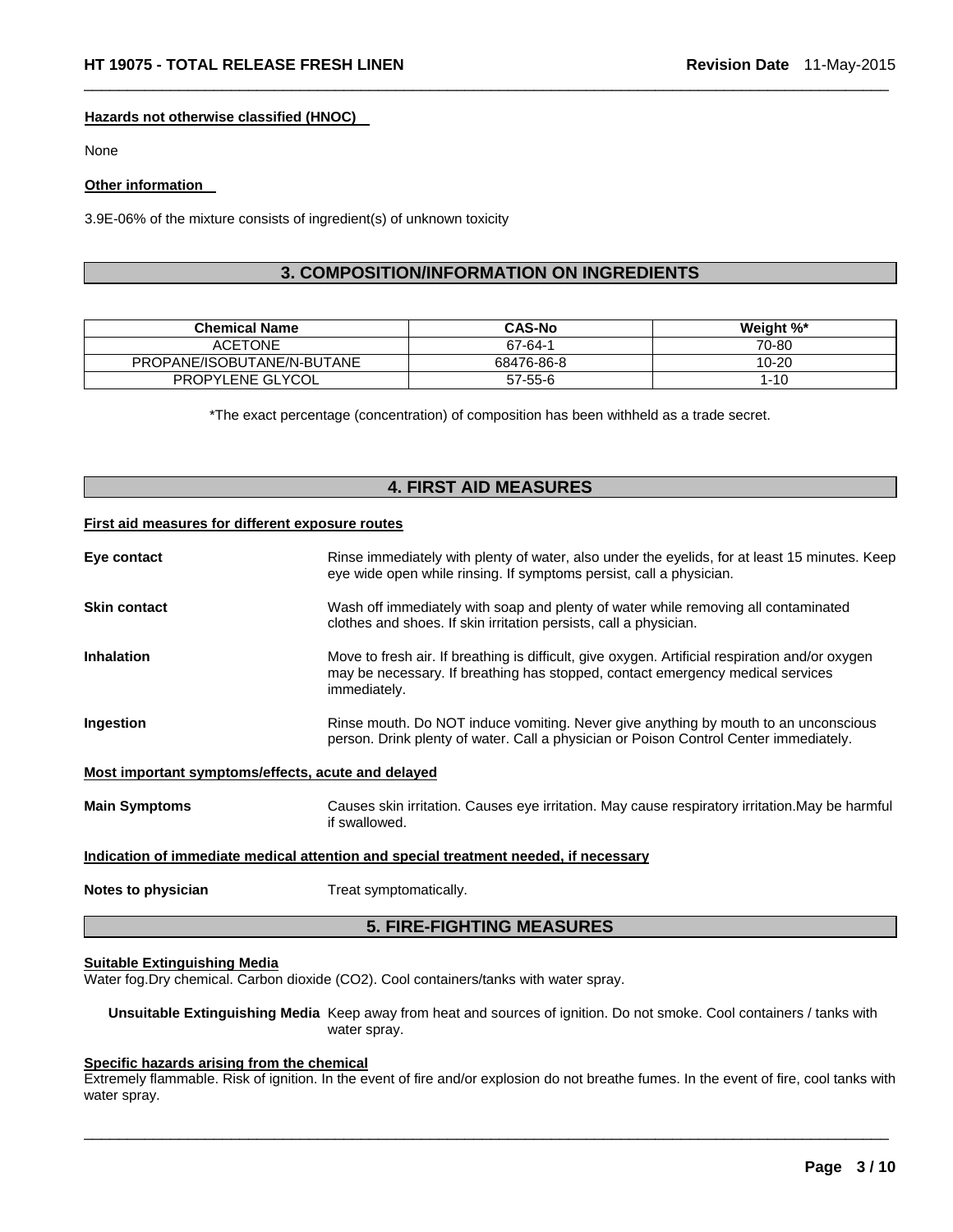#### **Hazards not otherwise classified (HNOC)**

None

#### **Other information**

3.9E-06% of the mixture consists of ingredient(s) of unknown toxicity

### **3. COMPOSITION/INFORMATION ON INGREDIENTS**

 $\Box$ 

| <b>Chemical Name</b>       | <b>CAS-No</b> | Weight %* |
|----------------------------|---------------|-----------|
| <b>ACETONE</b>             | 67-64-1       | 70-80     |
| PROPANE/ISOBUTANE/N-BUTANE | 68476-86-8    | 10-20     |
| PROPYLENE GLYCOL           | 57-55-6       | $1 - 10$  |

\*The exact percentage (concentration) of composition has been withheld as a trade secret.

### **4. FIRST AID MEASURES**

#### **First aid measures for different exposure routes**

| Eye contact                                                                          | Rinse immediately with plenty of water, also under the eyelids, for at least 15 minutes. Keep<br>eye wide open while rinsing. If symptoms persist, call a physician.                              |  |
|--------------------------------------------------------------------------------------|---------------------------------------------------------------------------------------------------------------------------------------------------------------------------------------------------|--|
| <b>Skin contact</b>                                                                  | Wash off immediately with soap and plenty of water while removing all contaminated<br>clothes and shoes. If skin irritation persists, call a physician.                                           |  |
| <b>Inhalation</b>                                                                    | Move to fresh air. If breathing is difficult, give oxygen. Artificial respiration and/or oxygen<br>may be necessary. If breathing has stopped, contact emergency medical services<br>immediately. |  |
| Ingestion                                                                            | Rinse mouth. Do NOT induce vomiting. Never give anything by mouth to an unconscious<br>person. Drink plenty of water. Call a physician or Poison Control Center immediately.                      |  |
| Most important symptoms/effects, acute and delayed                                   |                                                                                                                                                                                                   |  |
| <b>Main Symptoms</b>                                                                 | Causes skin irritation. Causes eye irritation. May cause respiratory irritation. May be harmful<br>if swallowed.                                                                                  |  |
| Indication of immediate medical attention and special treatment needed, if necessary |                                                                                                                                                                                                   |  |
| Notes to physician                                                                   | Treat symptomatically.                                                                                                                                                                            |  |

### **5. FIRE-FIGHTING MEASURES**

#### **Suitable Extinguishing Media**

Water fog.Dry chemical. Carbon dioxide (CO2). Cool containers/tanks with water spray.

**Unsuitable Extinguishing Media** Keep away from heat and sources of ignition. Do not smoke. Cool containers / tanks with water spray.

### **Specific hazards arising from the chemical**

Extremely flammable. Risk of ignition. In the event of fire and/or explosion do not breathe fumes. In the event of fire, cool tanks with water spray.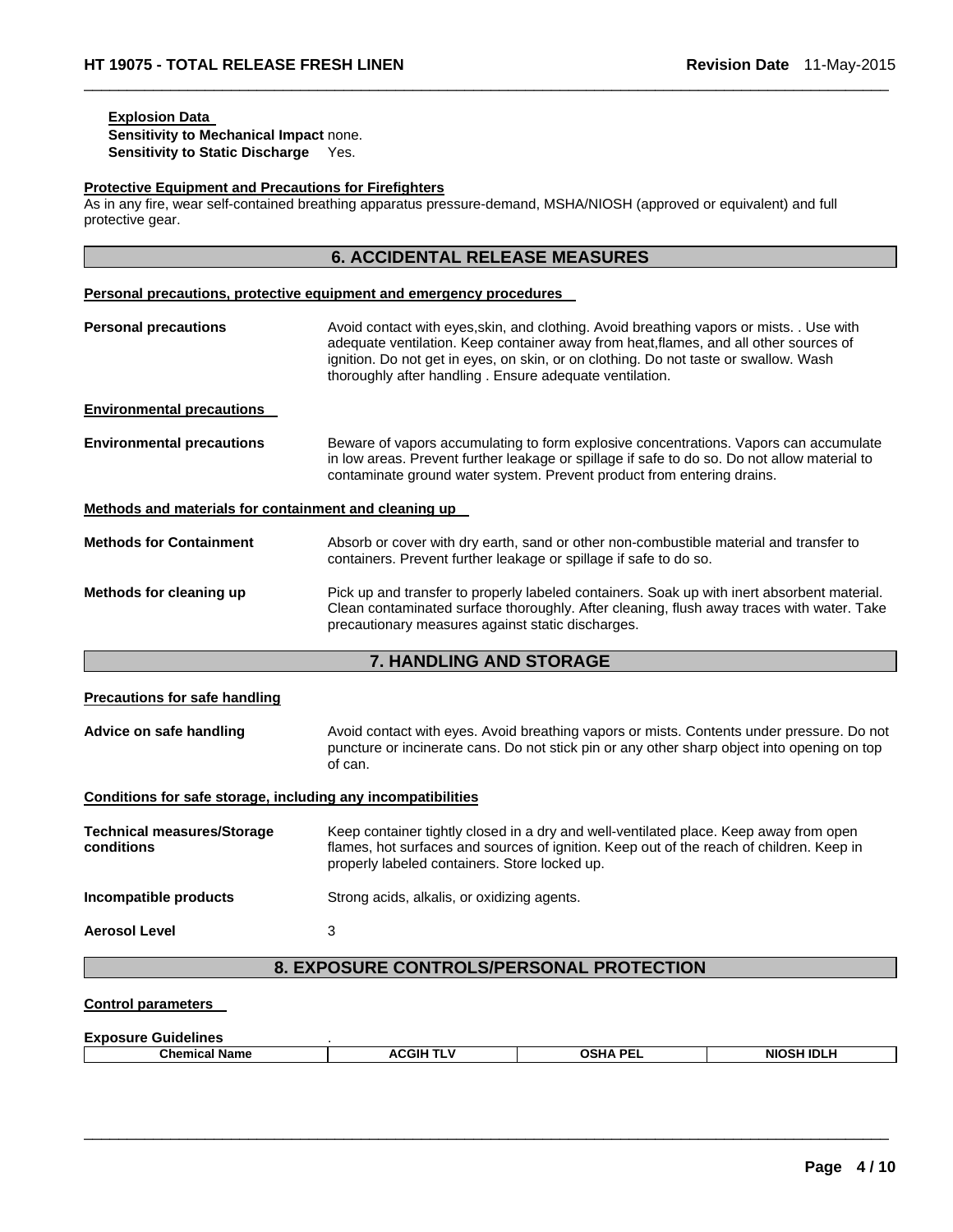### **Explosion Data**

**Sensitivity to Mechanical Impact** none. **Sensitivity to Static Discharge** Yes.

#### **Protective Equipment and Precautions for Firefighters**

As in any fire, wear self-contained breathing apparatus pressure-demand, MSHA/NIOSH (approved or equivalent) and full protective gear.

 $\Box$ 

|                                                              | <b>6. ACCIDENTAL RELEASE MEASURES</b>                                                                                                                                                                                                                                                                                                |
|--------------------------------------------------------------|--------------------------------------------------------------------------------------------------------------------------------------------------------------------------------------------------------------------------------------------------------------------------------------------------------------------------------------|
|                                                              | Personal precautions, protective equipment and emergency procedures                                                                                                                                                                                                                                                                  |
| <b>Personal precautions</b>                                  | Avoid contact with eyes, skin, and clothing. Avoid breathing vapors or mists. . Use with<br>adequate ventilation. Keep container away from heat, flames, and all other sources of<br>ignition. Do not get in eyes, on skin, or on clothing. Do not taste or swallow. Wash<br>thoroughly after handling. Ensure adequate ventilation. |
| <b>Environmental precautions</b>                             |                                                                                                                                                                                                                                                                                                                                      |
| <b>Environmental precautions</b>                             | Beware of vapors accumulating to form explosive concentrations. Vapors can accumulate<br>in low areas. Prevent further leakage or spillage if safe to do so. Do not allow material to<br>contaminate ground water system. Prevent product from entering drains.                                                                      |
| Methods and materials for containment and cleaning up        |                                                                                                                                                                                                                                                                                                                                      |
| <b>Methods for Containment</b>                               | Absorb or cover with dry earth, sand or other non-combustible material and transfer to<br>containers. Prevent further leakage or spillage if safe to do so.                                                                                                                                                                          |
| Methods for cleaning up                                      | Pick up and transfer to properly labeled containers. Soak up with inert absorbent material.<br>Clean contaminated surface thoroughly. After cleaning, flush away traces with water. Take<br>precautionary measures against static discharges.                                                                                        |
|                                                              | 7. HANDLING AND STORAGE                                                                                                                                                                                                                                                                                                              |
| <b>Precautions for safe handling</b>                         |                                                                                                                                                                                                                                                                                                                                      |
| Advice on safe handling                                      | Avoid contact with eyes. Avoid breathing vapors or mists. Contents under pressure. Do not<br>puncture or incinerate cans. Do not stick pin or any other sharp object into opening on top<br>of can.                                                                                                                                  |
| Conditions for safe storage, including any incompatibilities |                                                                                                                                                                                                                                                                                                                                      |
| <b>Technical measures/Storage</b><br>conditions              | Keep container tightly closed in a dry and well-ventilated place. Keep away from open<br>flames, hot surfaces and sources of ignition. Keep out of the reach of children. Keep in<br>properly labeled containers. Store locked up.                                                                                                   |
| Incompatible products                                        | Strong acids, alkalis, or oxidizing agents.                                                                                                                                                                                                                                                                                          |
| <b>Aerosol Level</b>                                         | 3                                                                                                                                                                                                                                                                                                                                    |
|                                                              | 8. EXPOSURE CONTROLS/PERSONAL PROTECTION                                                                                                                                                                                                                                                                                             |
| <b>Control parameters</b>                                    |                                                                                                                                                                                                                                                                                                                                      |
| Exposure Guidelines                                          |                                                                                                                                                                                                                                                                                                                                      |

| =^~~~~~~~~~~~~~~     |            |         |                   |
|----------------------|------------|---------|-------------------|
| <b>Chemical Name</b> | JGIH<br>л. | лена ре | <b>NIOSH IDLI</b> |
|                      |            |         |                   |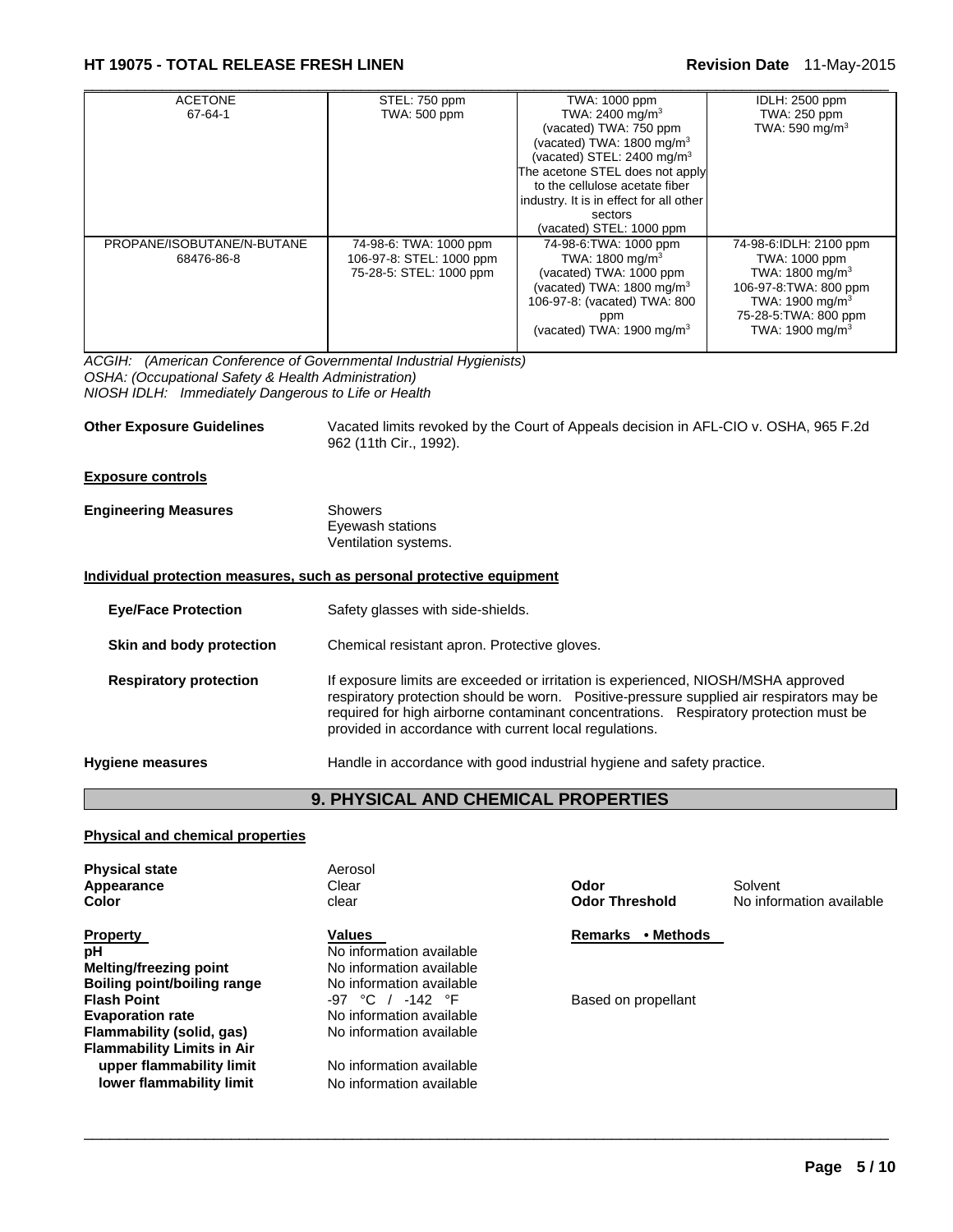### **HT 19075 - TOTAL RELEASE FRESH LINEN Revision Date** 11-May-2015

| <b>ACETONE</b>             | STEL: 750 ppm            | TWA: 1000 ppm                           | IDLH: 2500 ppm              |
|----------------------------|--------------------------|-----------------------------------------|-----------------------------|
| 67-64-1                    | <b>TWA: 500 ppm</b>      | TWA: 2400 mg/m <sup>3</sup>             | TWA: 250 ppm                |
|                            |                          | (vacated) TWA: 750 ppm                  | TWA: 590 mg/m <sup>3</sup>  |
|                            |                          | (vacated) TWA: 1800 mg/m <sup>3</sup>   |                             |
|                            |                          | (vacated) STEL: 2400 mg/m <sup>3</sup>  |                             |
|                            |                          | The acetone STEL does not apply         |                             |
|                            |                          | to the cellulose acetate fiber          |                             |
|                            |                          | industry. It is in effect for all other |                             |
|                            |                          | sectors                                 |                             |
|                            |                          | (vacated) STEL: 1000 ppm                |                             |
| PROPANE/ISOBUTANE/N-BUTANE | 74-98-6: TWA: 1000 ppm   | 74-98-6: TWA: 1000 ppm                  | 74-98-6:IDLH: 2100 ppm      |
| 68476-86-8                 | 106-97-8: STEL: 1000 ppm | TWA: 1800 mg/m <sup>3</sup>             | TWA: 1000 ppm               |
|                            | 75-28-5: STEL: 1000 ppm  | (vacated) TWA: 1000 ppm                 | TWA: $1800 \text{ mg/m}^3$  |
|                            |                          | (vacated) TWA: $1800 \text{ mg/m}^3$    | 106-97-8: TWA: 800 ppm      |
|                            |                          | 106-97-8: (vacated) TWA: 800            | TWA: 1900 mg/m <sup>3</sup> |
|                            |                          | ppm                                     | 75-28-5: TWA: 800 ppm       |
|                            |                          | (vacated) TWA: 1900 mg/m <sup>3</sup>   | TWA: 1900 mg/m $3$          |
|                            |                          |                                         |                             |

*ACGIH: (American Conference of Governmental Industrial Hygienists) OSHA: (Occupational Safety & Health Administration) NIOSH IDLH: Immediately Dangerous to Life or Health* 

**Other Exposure Guidelines** Vacated limits revoked by the Court of Appeals decision in AFL-CIO v. OSHA, 965 F.2d 962 (11th Cir., 1992).

#### **Exposure controls**

| <b>Engineering Measures</b> | Showers              |  |
|-----------------------------|----------------------|--|
|                             | Eyewash stations     |  |
|                             | Ventilation systems. |  |

#### **Individual protection measures, such as personal protective equipment**

| Safety glasses with side-shields.                                                                                                                                                                                                                                                                                                 |
|-----------------------------------------------------------------------------------------------------------------------------------------------------------------------------------------------------------------------------------------------------------------------------------------------------------------------------------|
| Chemical resistant apron. Protective gloves.                                                                                                                                                                                                                                                                                      |
| If exposure limits are exceeded or irritation is experienced, NIOSH/MSHA approved<br>respiratory protection should be worn.  Positive-pressure supplied air respirators may be<br>required for high airborne contaminant concentrations. Respiratory protection must be<br>provided in accordance with current local regulations. |
| Handle in accordance with good industrial hygiene and safety practice.                                                                                                                                                                                                                                                            |
|                                                                                                                                                                                                                                                                                                                                   |

## **9. PHYSICAL AND CHEMICAL PROPERTIES**

 $\Box$ 

#### **Physical and chemical properties**

| <b>Physical state</b><br>Appearance<br>Color                                                                    | Aerosol<br>Clear<br>clear                                                                  | Odor<br><b>Odor Threshold</b> | Solvent<br>No information available |
|-----------------------------------------------------------------------------------------------------------------|--------------------------------------------------------------------------------------------|-------------------------------|-------------------------------------|
| <b>Property</b><br>рH<br>Melting/freezing point<br>Boiling point/boiling range                                  | Values<br>No information available<br>No information available<br>No information available | • Methods<br><b>Remarks</b>   |                                     |
| <b>Flash Point</b><br><b>Evaporation rate</b><br>Flammability (solid, gas)<br><b>Flammability Limits in Air</b> | $-97$ °C / $-142$ °F<br>No information available<br>No information available               | Based on propellant           |                                     |
| upper flammability limit<br>lower flammability limit                                                            | No information available<br>No information available                                       |                               |                                     |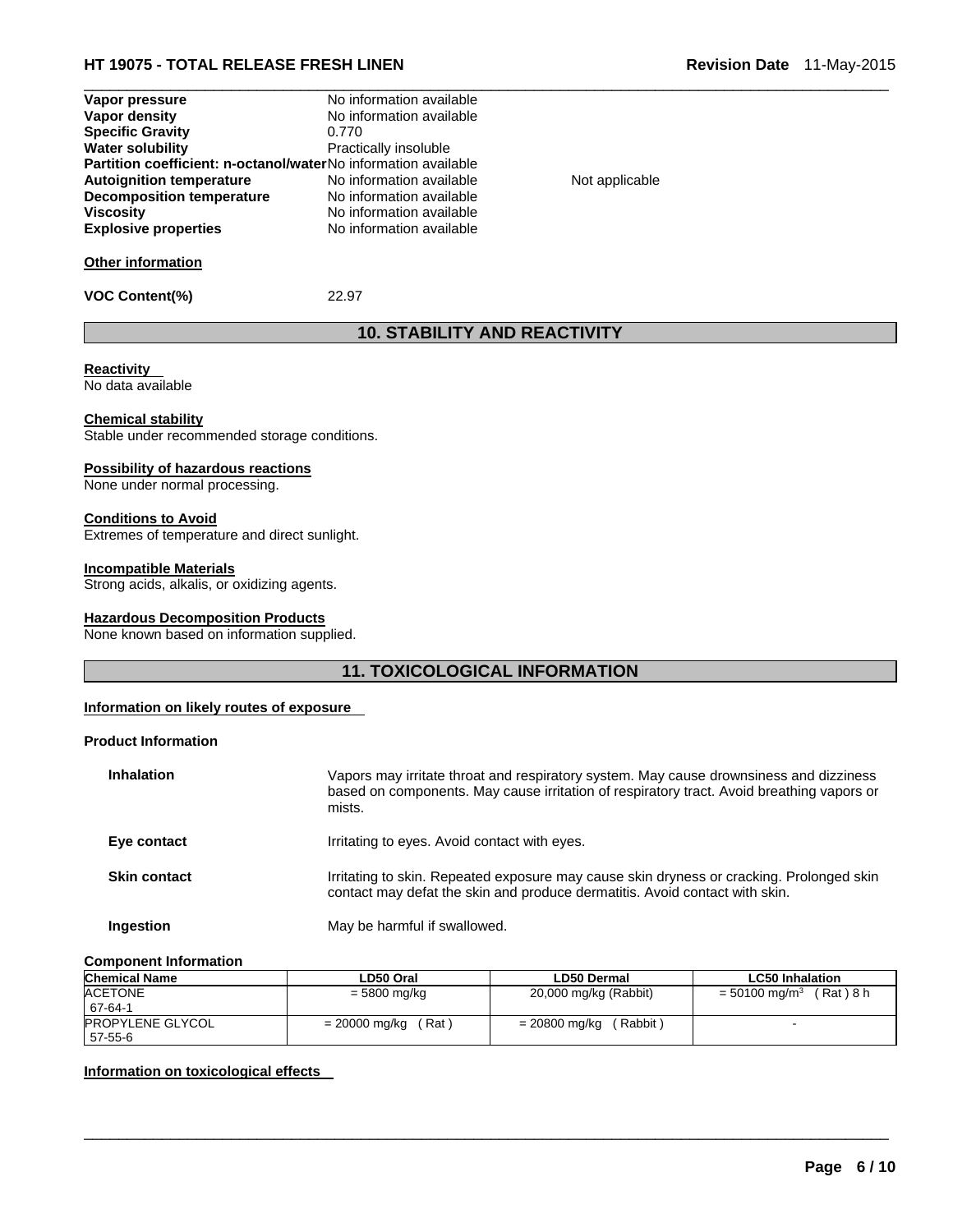### **HT 19075 - TOTAL RELEASE FRESH LINEN Revision Date** 11-May-2015

| Vapor pressure                                                        | No information available |                |  |
|-----------------------------------------------------------------------|--------------------------|----------------|--|
| Vapor density                                                         | No information available |                |  |
| <b>Specific Gravity</b>                                               | 0.770                    |                |  |
| <b>Water solubility</b>                                               | Practically insoluble    |                |  |
| <b>Partition coefficient: n-octanol/waterNo information available</b> |                          |                |  |
| <b>Autoignition temperature</b>                                       | No information available | Not applicable |  |
| Decomposition temperature                                             | No information available |                |  |
| <b>Viscosity</b>                                                      | No information available |                |  |
| <b>Explosive properties</b>                                           | No information available |                |  |
| <b>Other information</b>                                              |                          |                |  |
| <b>VOC Content(%)</b>                                                 | 22.97                    |                |  |

## **10. STABILITY AND REACTIVITY**

#### **Reactivity**

No data available

#### **Chemical stability**

Stable under recommended storage conditions.

#### **Possibility of hazardous reactions**

None under normal processing.

#### **Conditions to Avoid**

Extremes of temperature and direct sunlight.

#### **Incompatible Materials**

Strong acids, alkalis, or oxidizing agents.

#### **Hazardous Decomposition Products**

None known based on information supplied.

### **11. TOXICOLOGICAL INFORMATION**

#### **Information on likely routes of exposure**

#### **Product Information**

| <b>Inhalation</b>   | Vapors may irritate throat and respiratory system. May cause drownsiness and dizziness<br>based on components. May cause irritation of respiratory tract. Avoid breathing vapors or<br>mists. |
|---------------------|-----------------------------------------------------------------------------------------------------------------------------------------------------------------------------------------------|
| Eye contact         | Irritating to eyes. Avoid contact with eyes.                                                                                                                                                  |
| <b>Skin contact</b> | Irritating to skin. Repeated exposure may cause skin dryness or cracking. Prolonged skin<br>contact may defat the skin and produce dermatitis. Avoid contact with skin.                       |
| Ingestion           | May be harmful if swallowed.                                                                                                                                                                  |

#### **Component Information**

| <b>Chemical Name</b>               | LD50 Oral               | <b>LD50 Dermal</b>        | <b>LC50 Inhalation</b>                  |
|------------------------------------|-------------------------|---------------------------|-----------------------------------------|
| <b>ACETONE</b><br>67-64-1          | = 5800 mg/kg            | 20,000 mg/kg (Rabbit)     | (Rat)8 h<br>$= 50100$ mg/m <sup>3</sup> |
| <b>PROPYLENE GLYCOL</b><br>57-55-6 | (Rat )<br>= 20000 mg/kg | (Rabbit)<br>= 20800 mg/kg |                                         |

 $\Box$ 

#### **Information on toxicological effects**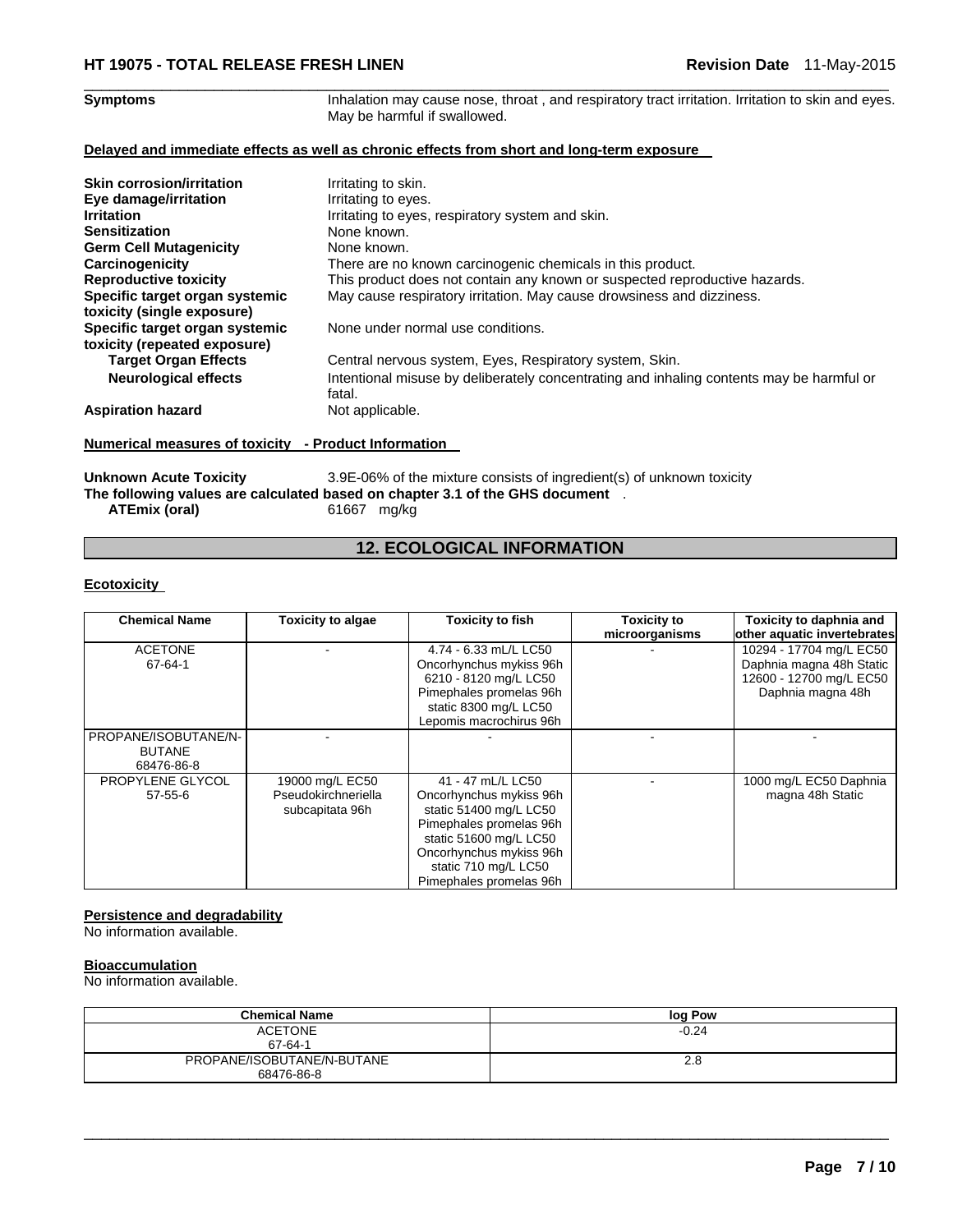#### $\Box$ Symptoms **Symptoms Inhalation may cause nose, throat**, and respiratory tract irritation. Irritation to skin and eyes. May be harmful if swallowed.

#### **Delayed and immediate effects as well as chronic effects from short and long-term exposure**

| <b>Skin corrosion/irritation</b><br>Eye damage/irritation<br><b>Irritation</b><br><b>Sensitization</b><br><b>Germ Cell Mutagenicity</b><br>Carcinogenicity<br><b>Reproductive toxicity</b><br>Specific target organ systemic<br>toxicity (single exposure) | Irritating to skin.<br>Irritating to eyes.<br>Irritating to eyes, respiratory system and skin.<br>None known.<br>None known.<br>There are no known carcinogenic chemicals in this product.<br>This product does not contain any known or suspected reproductive hazards.<br>May cause respiratory irritation. May cause drowsiness and dizziness. |
|------------------------------------------------------------------------------------------------------------------------------------------------------------------------------------------------------------------------------------------------------------|---------------------------------------------------------------------------------------------------------------------------------------------------------------------------------------------------------------------------------------------------------------------------------------------------------------------------------------------------|
| Specific target organ systemic<br>toxicity (repeated exposure)                                                                                                                                                                                             | None under normal use conditions.                                                                                                                                                                                                                                                                                                                 |
| <b>Target Organ Effects</b>                                                                                                                                                                                                                                | Central nervous system, Eyes, Respiratory system, Skin.                                                                                                                                                                                                                                                                                           |
| <b>Neurological effects</b>                                                                                                                                                                                                                                | Intentional misuse by deliberately concentrating and inhaling contents may be harmful or<br>fatal.                                                                                                                                                                                                                                                |
| <b>Aspiration hazard</b>                                                                                                                                                                                                                                   | Not applicable.                                                                                                                                                                                                                                                                                                                                   |

### **Numerical measures of toxicity - Product Information**

Unknown Acute Toxicity **3.9E-06%** of the mixture consists of ingredient(s) of unknown toxicity **The following values are calculated based on chapter 3.1 of the GHS document** . **ATEmix (oral)** 61667 mg/kg

### **12. ECOLOGICAL INFORMATION**

#### **Ecotoxicity**

| <b>Chemical Name</b>                                | <b>Toxicity to algae</b>                                  | <b>Toxicity to fish</b>                                                                                                                                                                                   | Toxicity to    | Toxicity to daphnia and                                                                             |
|-----------------------------------------------------|-----------------------------------------------------------|-----------------------------------------------------------------------------------------------------------------------------------------------------------------------------------------------------------|----------------|-----------------------------------------------------------------------------------------------------|
|                                                     |                                                           |                                                                                                                                                                                                           | microorganisms | other aquatic invertebrates                                                                         |
| <b>ACETONE</b><br>67-64-1                           |                                                           | 4.74 - 6.33 mL/L LC50<br>Oncorhynchus mykiss 96h<br>6210 - 8120 mg/L LC50<br>Pimephales promelas 96h<br>static 8300 mg/L LC50<br>Lepomis macrochirus 96h                                                  |                | 10294 - 17704 mg/L EC50<br>Daphnia magna 48h Static<br>12600 - 12700 mg/L EC50<br>Daphnia magna 48h |
| PROPANE/ISOBUTANE/N-<br><b>BUTANE</b><br>68476-86-8 |                                                           |                                                                                                                                                                                                           |                |                                                                                                     |
| PROPYLENE GLYCOL<br>$57 - 55 - 6$                   | 19000 mg/L EC50<br>Pseudokirchneriella<br>subcapitata 96h | 41 - 47 mL/L LC50<br>Oncorhynchus mykiss 96h<br>static 51400 mg/L LC50<br>Pimephales promelas 96h<br>static 51600 mg/L LC50<br>Oncorhynchus mykiss 96h<br>static 710 mg/L LC50<br>Pimephales promelas 96h |                | 1000 mg/L EC50 Daphnia<br>magna 48h Static                                                          |

#### **Persistence and degradability**

No information available.

#### **Bioaccumulation**

No information available.

| <b>Chemical Name</b>       | log Pow |
|----------------------------|---------|
| <b>ACETONE</b>             | $-0.24$ |
| 67-64-1                    |         |
| PROPANE/ISOBUTANE/N-BUTANE | 2.8     |
| 68476-86-8                 |         |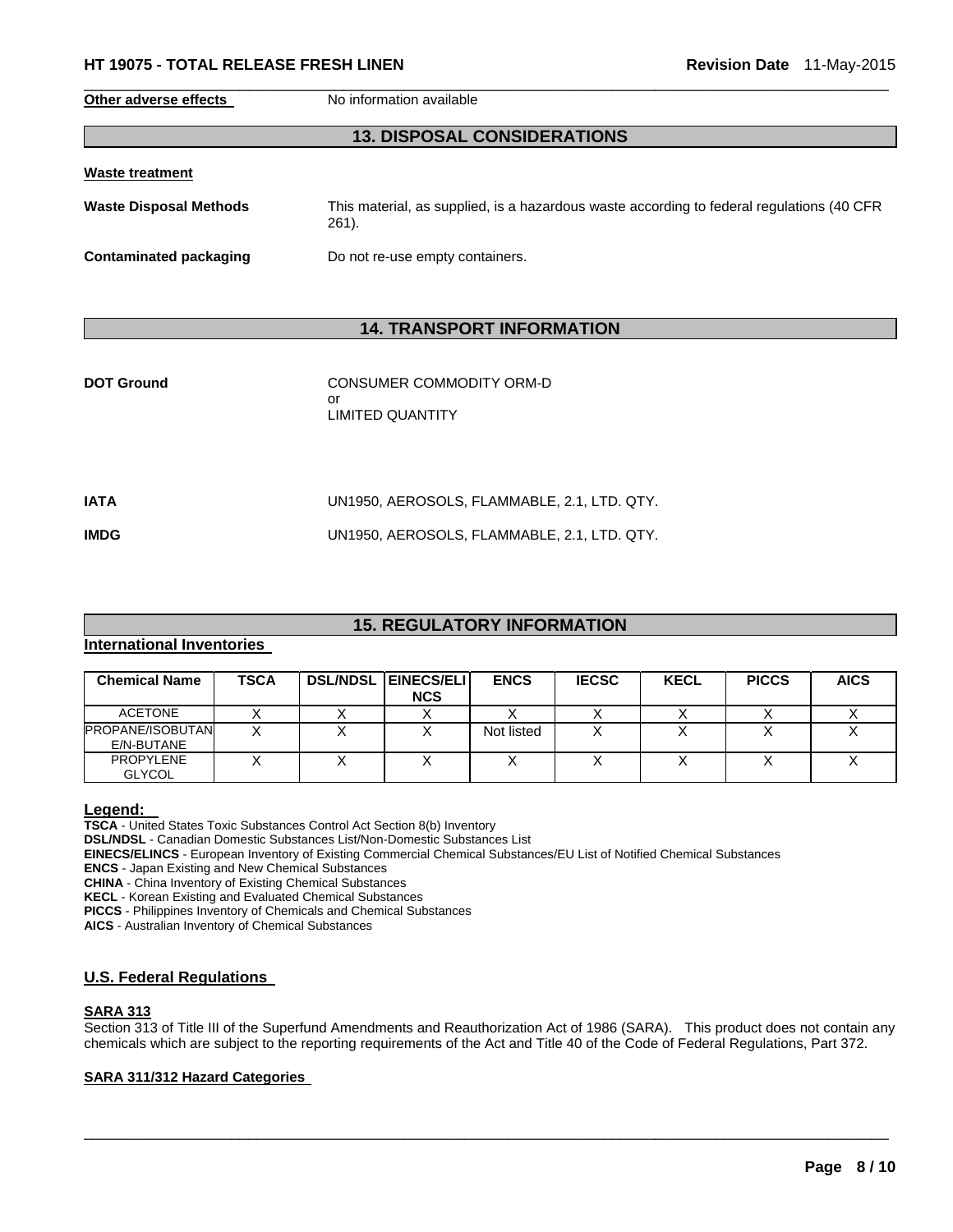#### **HT 19075 - TOTAL RELEASE FRESH LINEN Revision Date** 11-May-2015

**Other adverse effects** No information available

### **13. DISPOSAL CONSIDERATIONS**

 $\Box$ 

| <b>Waste treatment</b>        |                                                                                                      |
|-------------------------------|------------------------------------------------------------------------------------------------------|
| <b>Waste Disposal Methods</b> | This material, as supplied, is a hazardous waste according to federal regulations (40 CFR<br>$261$ . |
| Contaminated packaging        | Do not re-use empty containers.                                                                      |

### **14. TRANSPORT INFORMATION**

| <b>DOT Ground</b> | CONSUMER COMMODITY ORM-D<br>or<br>LIMITED QUANTITY |
|-------------------|----------------------------------------------------|
| <b>IATA</b>       | UN1950, AEROSOLS, FLAMMABLE, 2.1, LTD. QTY.        |
| <b>IMDG</b>       | UN1950, AEROSOLS, FLAMMABLE, 2.1, LTD. QTY.        |

### **15. REGULATORY INFORMATION**

### **International Inventories**

| <b>Chemical Name</b>                  | TSCA | <b>DSL/NDSL EINECS/ELI</b><br><b>NCS</b> | <b>ENCS</b> | <b>IECSC</b> | <b>KECL</b> | <b>PICCS</b> | <b>AICS</b> |
|---------------------------------------|------|------------------------------------------|-------------|--------------|-------------|--------------|-------------|
| <b>ACETONE</b>                        |      |                                          |             |              |             |              |             |
| <b>PROPANE/ISOBUTAN</b><br>E/N-BUTANE |      |                                          | Not listed  |              |             |              |             |
| <b>PROPYLENE</b><br><b>GLYCOL</b>     |      |                                          |             |              |             |              |             |

**Legend: TSCA** - United States Toxic Substances Control Act Section 8(b) Inventory **DSL/NDSL** - Canadian Domestic Substances List/Non-Domestic Substances List **EINECS/ELINCS** - European Inventory of Existing Commercial Chemical Substances/EU List of Notified Chemical Substances **ENCS** - Japan Existing and New Chemical Substances

**CHINA** - China Inventory of Existing Chemical Substances

**KECL** - Korean Existing and Evaluated Chemical Substances

**PICCS** - Philippines Inventory of Chemicals and Chemical Substances

**AICS** - Australian Inventory of Chemical Substances

#### **U.S. Federal Regulations**

#### **SARA 313**

Section 313 of Title III of the Superfund Amendments and Reauthorization Act of 1986 (SARA). This product does not contain any chemicals which are subject to the reporting requirements of the Act and Title 40 of the Code of Federal Regulations, Part 372.

 $\Box$ 

### **SARA 311/312 Hazard Categories**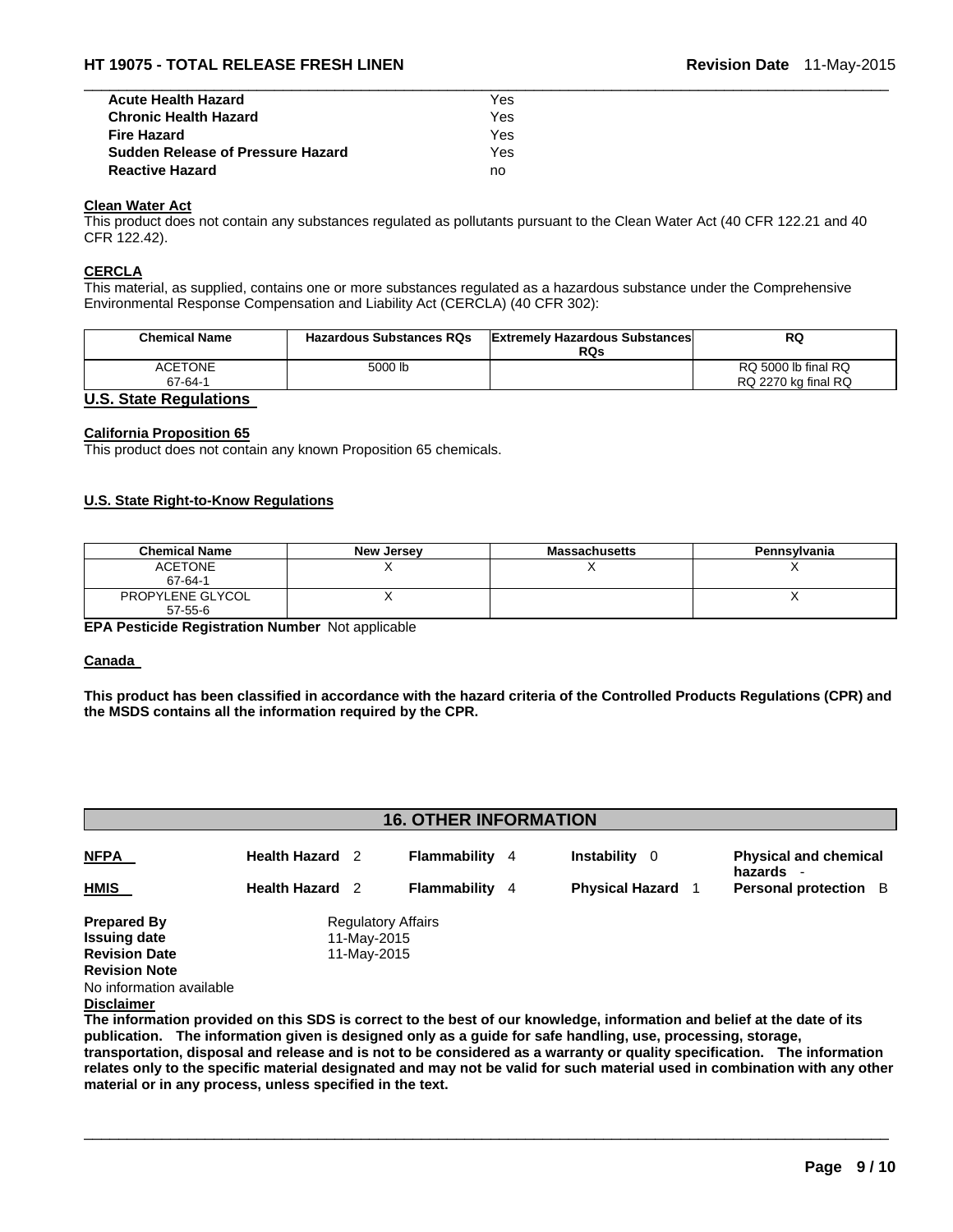| <b>Acute Health Hazard</b>               | Yes |  |
|------------------------------------------|-----|--|
| <b>Chronic Health Hazard</b>             | Yes |  |
| <b>Fire Hazard</b>                       | Yes |  |
| <b>Sudden Release of Pressure Hazard</b> | Yes |  |
| <b>Reactive Hazard</b>                   | no  |  |

### **Clean Water Act**

This product does not contain any substances regulated as pollutants pursuant to the Clean Water Act (40 CFR 122.21 and 40 CFR 122.42).

#### **CERCLA**

This material, as supplied, contains one or more substances regulated as a hazardous substance under the Comprehensive Environmental Response Compensation and Liability Act (CERCLA) (40 CFR 302):

| <b>Chemical Name</b>                                                                                                                                                                                                                                                                                                               | <b>Hazardous Substances RQs</b> | <b>Extremely Hazardous Substances</b><br><b>RQs</b> | RQ                  |
|------------------------------------------------------------------------------------------------------------------------------------------------------------------------------------------------------------------------------------------------------------------------------------------------------------------------------------|---------------------------------|-----------------------------------------------------|---------------------|
| <b>ACETONE</b>                                                                                                                                                                                                                                                                                                                     | 5000 lb                         |                                                     | RQ 5000 lb final RQ |
| 67-64-1                                                                                                                                                                                                                                                                                                                            |                                 |                                                     | RQ 2270 kg final RQ |
| $\mathbf{a}$ $\mathbf{b}$ $\mathbf{c}$ $\mathbf{d}$ $\mathbf{c}$ $\mathbf{d}$ $\mathbf{c}$ $\mathbf{d}$ $\mathbf{d}$ $\mathbf{e}$ $\mathbf{d}$ $\mathbf{e}$ $\mathbf{e}$ $\mathbf{d}$ $\mathbf{e}$ $\mathbf{d}$ $\mathbf{e}$ $\mathbf{e}$ $\mathbf{e}$ $\mathbf{e}$ $\mathbf{e}$ $\mathbf{e}$ $\mathbf{e}$ $\mathbf{e}$ $\mathbf{$ |                                 |                                                     |                     |

#### **U.S. State Regulations**

#### **California Proposition 65**

This product does not contain any known Proposition 65 chemicals.

#### **U.S. State Right-to-Know Regulations**

| <b>Chemical Name</b>        | <b>New Jersey</b> | <b>Massachusetts</b> | Pennsylvania |
|-----------------------------|-------------------|----------------------|--------------|
| <b>ACETONE</b><br>67-64-1   |                   |                      |              |
| PROPYLENE GLYCOL<br>57-55-6 |                   |                      |              |

**EPA Pesticide Registration Number** Not applicable

#### **Canada**

**This product has been classified in accordance with the hazard criteria of the Controlled Products Regulations (CPR) and the MSDS contains all the information required by the CPR.** 

| <b>16. OTHER INFORMATION</b>                                                              |                        |                                                         |                       |  |                           |  |                                         |
|-------------------------------------------------------------------------------------------|------------------------|---------------------------------------------------------|-----------------------|--|---------------------------|--|-----------------------------------------|
| <b>NFPA</b>                                                                               | <b>Health Hazard</b> 2 |                                                         | <b>Flammability</b> 4 |  | <b>Instability</b><br>- 0 |  | <b>Physical and chemical</b><br>hazards |
| <b>HMIS</b>                                                                               | <b>Health Hazard</b> 2 |                                                         | <b>Flammability</b> 4 |  | <b>Physical Hazard</b>    |  | Personal protection B                   |
| <b>Prepared By</b><br><b>Issuing date</b><br><b>Revision Date</b><br><b>Revision Note</b> |                        | <b>Regulatory Affairs</b><br>11-May-2015<br>11-May-2015 |                       |  |                           |  |                                         |
| No information available<br><b>Disclaimer</b>                                             |                        |                                                         |                       |  |                           |  |                                         |

**The information provided on this SDS is correct to the best of our knowledge, information and belief at the date of its publication. The information given is designed only as a guide for safe handling, use, processing, storage, transportation, disposal and release and is not to be considered as a warranty or quality specification. The information relates only to the specific material designated and may not be valid for such material used in combination with any other material or in any process, unless specified in the text.**